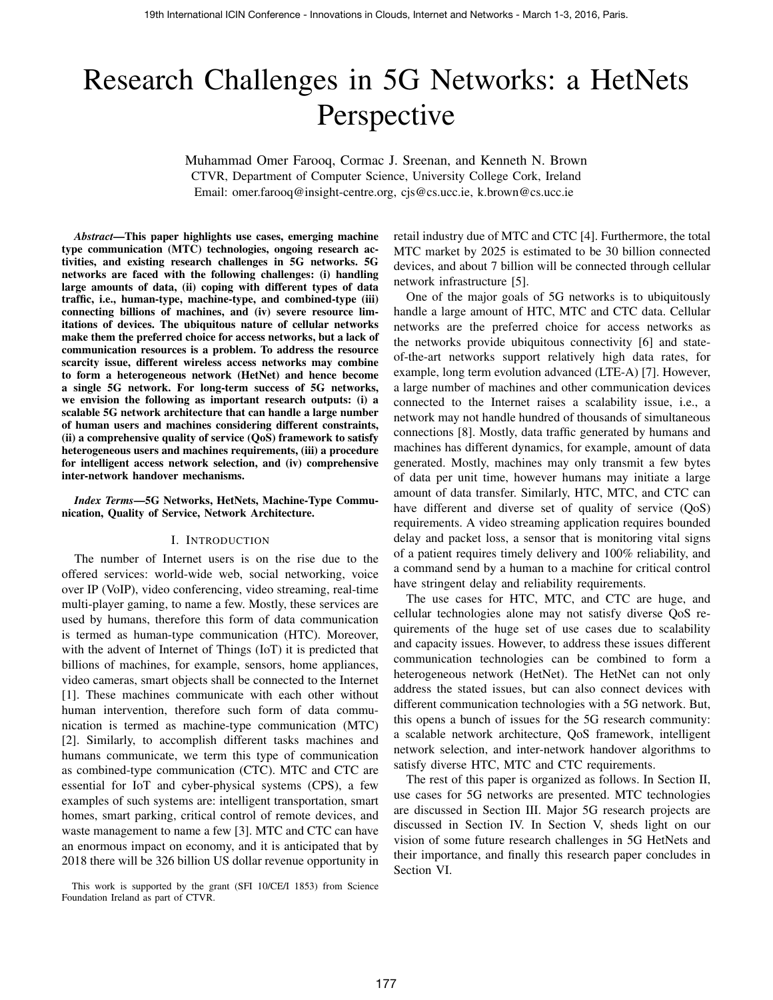# Research Challenges in 5G Networks: a HetNets Perspective

Muhammad Omer Farooq, Cormac J. Sreenan, and Kenneth N. Brown CTVR, Department of Computer Science, University College Cork, Ireland Email: omer.farooq@insight-centre.org, cjs@cs.ucc.ie, k.brown@cs.ucc.ie

*Abstract***—This paper highlights use cases, emerging machine type communication (MTC) technologies, ongoing research activities, and existing research challenges in 5G networks. 5G networks are faced with the following challenges: (i) handling large amounts of data, (ii) coping with different types of data traffic, i.e., human-type, machine-type, and combined-type (iii) connecting billions of machines, and (iv) severe resource limitations of devices. The ubiquitous nature of cellular networks make them the preferred choice for access networks, but a lack of communication resources is a problem. To address the resource scarcity issue, different wireless access networks may combine to form a heterogeneous network (HetNet) and hence become a single 5G network. For long-term success of 5G networks, we envision the following as important research outputs: (i) a scalable 5G network architecture that can handle a large number of human users and machines considering different constraints, (ii) a comprehensive quality of service (QoS) framework to satisfy heterogeneous users and machines requirements, (iii) a procedure for intelligent access network selection, and (iv) comprehensive inter-network handover mechanisms.**

#### *Index Terms***—5G Networks, HetNets, Machine-Type Communication, Quality of Service, Network Architecture.**

#### I. INTRODUCTION

The number of Internet users is on the rise due to the offered services: world-wide web, social networking, voice over IP (VoIP), video conferencing, video streaming, real-time multi-player gaming, to name a few. Mostly, these services are used by humans, therefore this form of data communication is termed as human-type communication (HTC). Moreover, with the advent of Internet of Things (IoT) it is predicted that billions of machines, for example, sensors, home appliances, video cameras, smart objects shall be connected to the Internet [1]. These machines communicate with each other without human intervention, therefore such form of data communication is termed as machine-type communication (MTC) [2]. Similarly, to accomplish different tasks machines and humans communicate, we term this type of communication as combined-type communication (CTC). MTC and CTC are essential for IoT and cyber-physical systems (CPS), a few examples of such systems are: intelligent transportation, smart homes, smart parking, critical control of remote devices, and waste management to name a few [3]. MTC and CTC can have an enormous impact on economy, and it is anticipated that by 2018 there will be 326 billion US dollar revenue opportunity in

This work is supported by the grant (SFI 10/CE/I 1853) from Science Foundation Ireland as part of CTVR.

retail industry due of MTC and CTC [4]. Furthermore, the total MTC market by 2025 is estimated to be 30 billion connected devices, and about 7 billion will be connected through cellular network infrastructure [5].

One of the major goals of 5G networks is to ubiquitously handle a large amount of HTC, MTC and CTC data. Cellular networks are the preferred choice for access networks as the networks provide ubiquitous connectivity [6] and stateof-the-art networks support relatively high data rates, for example, long term evolution advanced (LTE-A) [7]. However, a large number of machines and other communication devices connected to the Internet raises a scalability issue, i.e., a network may not handle hundred of thousands of simultaneous connections [8]. Mostly, data traffic generated by humans and machines has different dynamics, for example, amount of data generated. Mostly, machines may only transmit a few bytes of data per unit time, however humans may initiate a large amount of data transfer. Similarly, HTC, MTC, and CTC can have different and diverse set of quality of service (QoS) requirements. A video streaming application requires bounded delay and packet loss, a sensor that is monitoring vital signs of a patient requires timely delivery and 100% reliability, and a command send by a human to a machine for critical control have stringent delay and reliability requirements.

The use cases for HTC, MTC, and CTC are huge, and cellular technologies alone may not satisfy diverse QoS requirements of the huge set of use cases due to scalability and capacity issues. However, to address these issues different communication technologies can be combined to form a heterogeneous network (HetNet). The HetNet can not only address the stated issues, but can also connect devices with different communication technologies with a 5G network. But, this opens a bunch of issues for the 5G research community: a scalable network architecture, QoS framework, intelligent network selection, and inter-network handover algorithms to satisfy diverse HTC, MTC and CTC requirements.

The rest of this paper is organized as follows. In Section II, use cases for 5G networks are presented. MTC technologies are discussed in Section III. Major 5G research projects are discussed in Section IV. In Section V, sheds light on our vision of some future research challenges in 5G HetNets and their importance, and finally this research paper concludes in Section VI.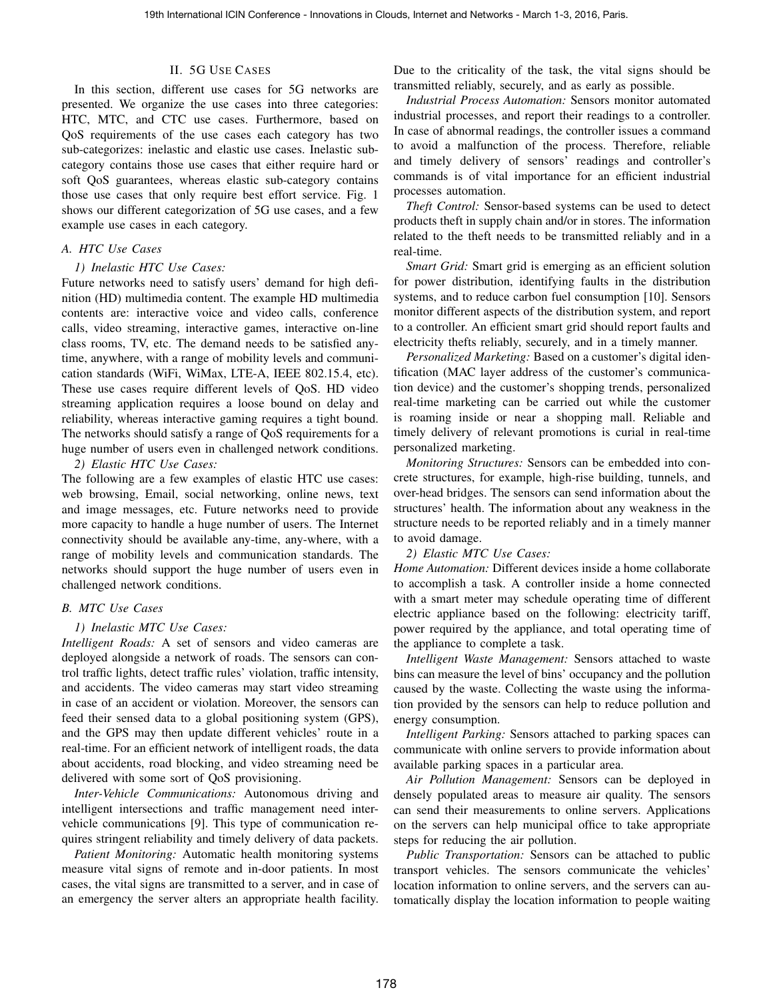# II. 5G USE CASES

In this section, different use cases for 5G networks are presented. We organize the use cases into three categories: HTC, MTC, and CTC use cases. Furthermore, based on QoS requirements of the use cases each category has two sub-categorizes: inelastic and elastic use cases. Inelastic subcategory contains those use cases that either require hard or soft QoS guarantees, whereas elastic sub-category contains those use cases that only require best effort service. Fig. 1 shows our different categorization of 5G use cases, and a few example use cases in each category.

# *A. HTC Use Cases*

#### *1) Inelastic HTC Use Cases:*

Future networks need to satisfy users' demand for high definition (HD) multimedia content. The example HD multimedia contents are: interactive voice and video calls, conference calls, video streaming, interactive games, interactive on-line class rooms, TV, etc. The demand needs to be satisfied anytime, anywhere, with a range of mobility levels and communication standards (WiFi, WiMax, LTE-A, IEEE 802.15.4, etc). These use cases require different levels of QoS. HD video streaming application requires a loose bound on delay and reliability, whereas interactive gaming requires a tight bound. The networks should satisfy a range of QoS requirements for a huge number of users even in challenged network conditions.

*2) Elastic HTC Use Cases:*

The following are a few examples of elastic HTC use cases: web browsing, Email, social networking, online news, text and image messages, etc. Future networks need to provide more capacity to handle a huge number of users. The Internet connectivity should be available any-time, any-where, with a range of mobility levels and communication standards. The networks should support the huge number of users even in challenged network conditions.

## *B. MTC Use Cases*

## *1) Inelastic MTC Use Cases:*

*Intelligent Roads:* A set of sensors and video cameras are deployed alongside a network of roads. The sensors can control traffic lights, detect traffic rules' violation, traffic intensity, and accidents. The video cameras may start video streaming in case of an accident or violation. Moreover, the sensors can feed their sensed data to a global positioning system (GPS), and the GPS may then update different vehicles' route in a real-time. For an efficient network of intelligent roads, the data about accidents, road blocking, and video streaming need be delivered with some sort of QoS provisioning.

*Inter-Vehicle Communications:* Autonomous driving and intelligent intersections and traffic management need intervehicle communications [9]. This type of communication requires stringent reliability and timely delivery of data packets.

*Patient Monitoring:* Automatic health monitoring systems measure vital signs of remote and in-door patients. In most cases, the vital signs are transmitted to a server, and in case of an emergency the server alters an appropriate health facility. Due to the criticality of the task, the vital signs should be transmitted reliably, securely, and as early as possible.

*Industrial Process Automation:* Sensors monitor automated industrial processes, and report their readings to a controller. In case of abnormal readings, the controller issues a command to avoid a malfunction of the process. Therefore, reliable and timely delivery of sensors' readings and controller's commands is of vital importance for an efficient industrial processes automation.

*Theft Control:* Sensor-based systems can be used to detect products theft in supply chain and/or in stores. The information related to the theft needs to be transmitted reliably and in a real-time.

*Smart Grid:* Smart grid is emerging as an efficient solution for power distribution, identifying faults in the distribution systems, and to reduce carbon fuel consumption [10]. Sensors monitor different aspects of the distribution system, and report to a controller. An efficient smart grid should report faults and electricity thefts reliably, securely, and in a timely manner.

*Personalized Marketing:* Based on a customer's digital identification (MAC layer address of the customer's communication device) and the customer's shopping trends, personalized real-time marketing can be carried out while the customer is roaming inside or near a shopping mall. Reliable and timely delivery of relevant promotions is curial in real-time personalized marketing.

*Monitoring Structures:* Sensors can be embedded into concrete structures, for example, high-rise building, tunnels, and over-head bridges. The sensors can send information about the structures' health. The information about any weakness in the structure needs to be reported reliably and in a timely manner to avoid damage.

*2) Elastic MTC Use Cases:*

*Home Automation:* Different devices inside a home collaborate to accomplish a task. A controller inside a home connected with a smart meter may schedule operating time of different electric appliance based on the following: electricity tariff, power required by the appliance, and total operating time of the appliance to complete a task.

*Intelligent Waste Management:* Sensors attached to waste bins can measure the level of bins' occupancy and the pollution caused by the waste. Collecting the waste using the information provided by the sensors can help to reduce pollution and energy consumption.

*Intelligent Parking:* Sensors attached to parking spaces can communicate with online servers to provide information about available parking spaces in a particular area.

*Air Pollution Management:* Sensors can be deployed in densely populated areas to measure air quality. The sensors can send their measurements to online servers. Applications on the servers can help municipal office to take appropriate steps for reducing the air pollution.

*Public Transportation:* Sensors can be attached to public transport vehicles. The sensors communicate the vehicles' location information to online servers, and the servers can automatically display the location information to people waiting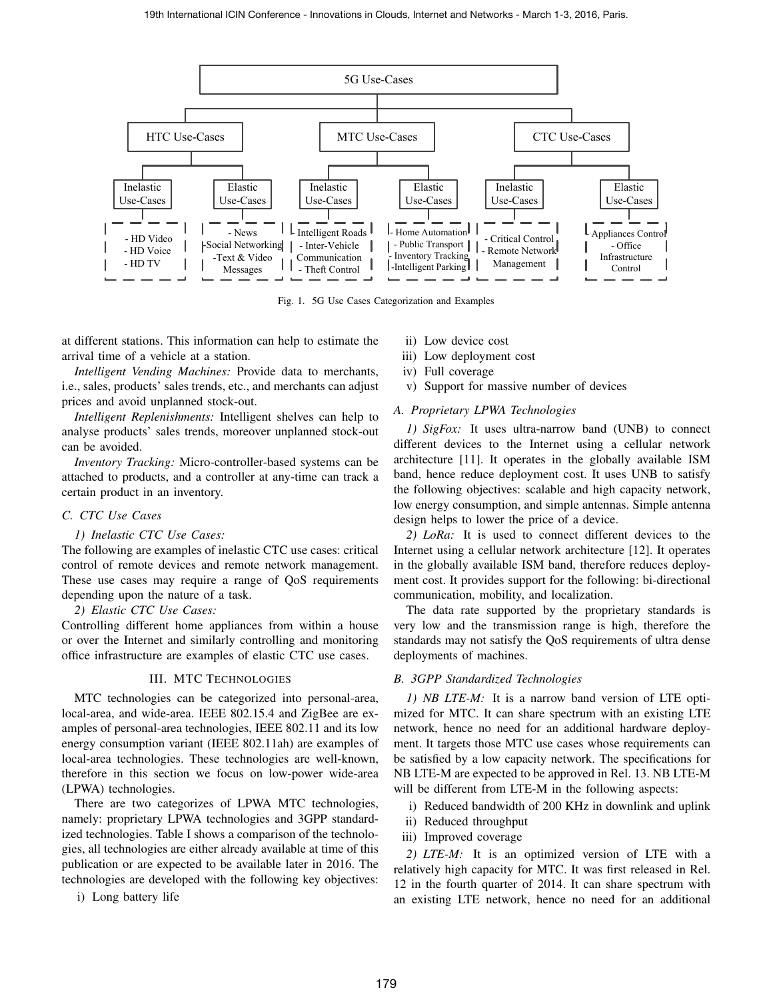

Fig. 1. 5G Use Cases Categorization and Examples

at different stations. This information can help to estimate the arrival time of a vehicle at a station.

*Intelligent Vending Machines:* Provide data to merchants, i.e., sales, products' sales trends, etc., and merchants can adjust prices and avoid unplanned stock-out.

*Intelligent Replenishments:* Intelligent shelves can help to analyse products' sales trends, moreover unplanned stock-out can be avoided.

*Inventory Tracking:* Micro-controller-based systems can be attached to products, and a controller at any-time can track a certain product in an inventory.

# *C. CTC Use Cases*

# *1) Inelastic CTC Use Cases:*

The following are examples of inelastic CTC use cases: critical control of remote devices and remote network management. These use cases may require a range of QoS requirements depending upon the nature of a task.

#### *2) Elastic CTC Use Cases:*

Controlling different home appliances from within a house or over the Internet and similarly controlling and monitoring office infrastructure are examples of elastic CTC use cases.

## III. MTC TECHNOLOGIES

MTC technologies can be categorized into personal-area, local-area, and wide-area. IEEE 802.15.4 and ZigBee are examples of personal-area technologies, IEEE 802.11 and its low energy consumption variant (IEEE 802.11ah) are examples of local-area technologies. These technologies are well-known, therefore in this section we focus on low-power wide-area (LPWA) technologies.

There are two categorizes of LPWA MTC technologies, namely: proprietary LPWA technologies and 3GPP standardized technologies. Table I shows a comparison of the technologies, all technologies are either already available at time of this publication or are expected to be available later in 2016. The technologies are developed with the following key objectives:

i) Long battery life

- ii) Low device cost
- iii) Low deployment cost
- iv) Full coverage
- v) Support for massive number of devices

#### *A. Proprietary LPWA Technologies*

*1) SigFox:* It uses ultra-narrow band (UNB) to connect different devices to the Internet using a cellular network architecture [11]. It operates in the globally available ISM band, hence reduce deployment cost. It uses UNB to satisfy the following objectives: scalable and high capacity network, low energy consumption, and simple antennas. Simple antenna design helps to lower the price of a device.

*2) LoRa:* It is used to connect different devices to the Internet using a cellular network architecture [12]. It operates in the globally available ISM band, therefore reduces deployment cost. It provides support for the following: bi-directional communication, mobility, and localization.

The data rate supported by the proprietary standards is very low and the transmission range is high, therefore the standards may not satisfy the QoS requirements of ultra dense deployments of machines.

## *B. 3GPP Standardized Technologies*

*1) NB LTE-M:* It is a narrow band version of LTE optimized for MTC. It can share spectrum with an existing LTE network, hence no need for an additional hardware deployment. It targets those MTC use cases whose requirements can be satisfied by a low capacity network. The specifications for NB LTE-M are expected to be approved in Rel. 13. NB LTE-M will be different from LTE-M in the following aspects:

- i) Reduced bandwidth of 200 KHz in downlink and uplink
- ii) Reduced throughput
- iii) Improved coverage

*2) LTE-M:* It is an optimized version of LTE with a relatively high capacity for MTC. It was first released in Rel. 12 in the fourth quarter of 2014. It can share spectrum with an existing LTE network, hence no need for an additional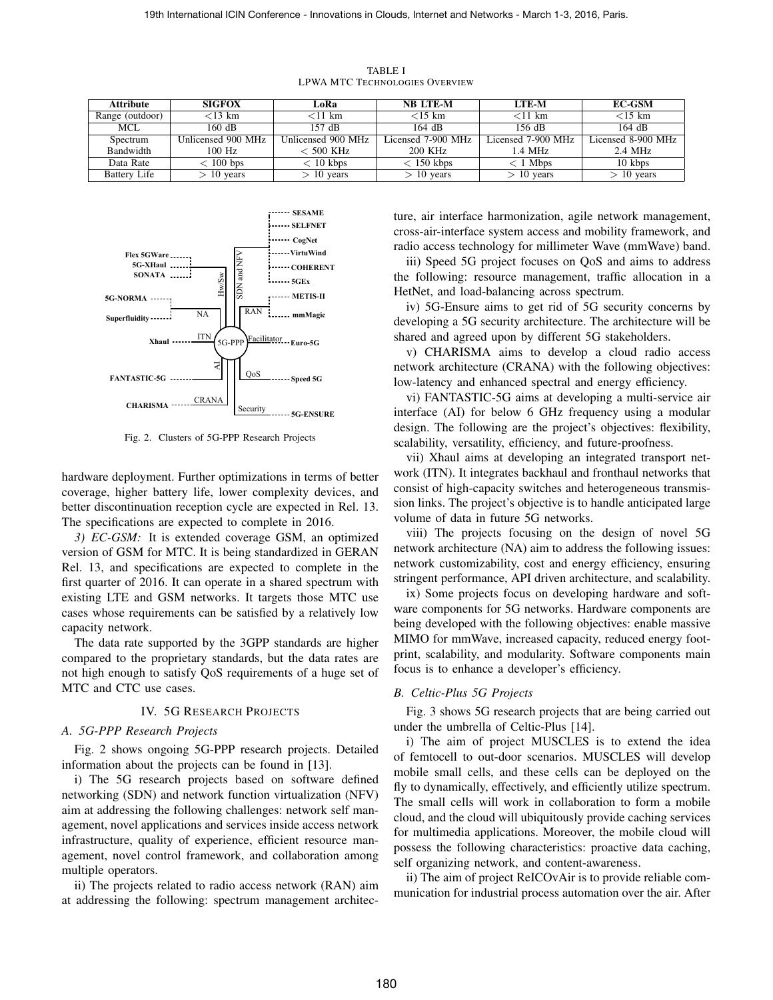| <b>Attribute</b>    | <b>SIGFOX</b>      | LoRa               | <b>NB LTE-M</b>    | <b>LTE-M</b>       | <b>EC-GSM</b>      |
|---------------------|--------------------|--------------------|--------------------|--------------------|--------------------|
| Range (outdoor)     | $<$ 13 km          | $<$ 11 km          | $<$ 15 km          | $<$ 11 km          | $<$ 15 km          |
| MCL.                | 160 dB             | $157$ dB           | 164 dB             | $156$ dB           | $164$ dB           |
| Spectrum            | Unlicensed 900 MHz | Unlicensed 900 MHz | Licensed 7-900 MHz | Licensed 7-900 MHz | Licensed 8-900 MHz |
| Bandwidth           | 100 Hz             | $< 500$ KHz        | 200 KHz            | 1.4 MHz            | 2.4 MHz            |
| Data Rate           | $< 100$ bps        | $< 10$ kbps        | $< 150$ kbps       | $<$ 1 Mbps         | 10 kbps            |
| <b>Battery Life</b> | $> 10$ years       | $> 10$ years       | $> 10$ years       | $> 10$ years       | $> 10$ years       |

TABLE I LPWA MTC TECHNOLOGIES OVERVIEW



Fig. 2. Clusters of 5G-PPP Research Projects

hardware deployment. Further optimizations in terms of better coverage, higher battery life, lower complexity devices, and better discontinuation reception cycle are expected in Rel. 13. The specifications are expected to complete in 2016.

*3) EC-GSM:* It is extended coverage GSM, an optimized version of GSM for MTC. It is being standardized in GERAN Rel. 13, and specifications are expected to complete in the first quarter of 2016. It can operate in a shared spectrum with existing LTE and GSM networks. It targets those MTC use cases whose requirements can be satisfied by a relatively low capacity network.

The data rate supported by the 3GPP standards are higher compared to the proprietary standards, but the data rates are not high enough to satisfy QoS requirements of a huge set of MTC and CTC use cases.

#### IV. 5G RESEARCH PROJECTS

## *A. 5G-PPP Research Projects*

Fig. 2 shows ongoing 5G-PPP research projects. Detailed information about the projects can be found in [13].

i) The 5G research projects based on software defined networking (SDN) and network function virtualization (NFV) aim at addressing the following challenges: network self management, novel applications and services inside access network infrastructure, quality of experience, efficient resource management, novel control framework, and collaboration among multiple operators.

ii) The projects related to radio access network (RAN) aim at addressing the following: spectrum management architecture, air interface harmonization, agile network management, cross-air-interface system access and mobility framework, and radio access technology for millimeter Wave (mmWave) band.

iii) Speed 5G project focuses on QoS and aims to address the following: resource management, traffic allocation in a HetNet, and load-balancing across spectrum.

iv) 5G-Ensure aims to get rid of 5G security concerns by developing a 5G security architecture. The architecture will be shared and agreed upon by different 5G stakeholders.

v) CHARISMA aims to develop a cloud radio access network architecture (CRANA) with the following objectives: low-latency and enhanced spectral and energy efficiency.

vi) FANTASTIC-5G aims at developing a multi-service air interface (AI) for below 6 GHz frequency using a modular design. The following are the project's objectives: flexibility, scalability, versatility, efficiency, and future-proofness.

vii) Xhaul aims at developing an integrated transport network (ITN). It integrates backhaul and fronthaul networks that consist of high-capacity switches and heterogeneous transmission links. The project's objective is to handle anticipated large volume of data in future 5G networks.

viii) The projects focusing on the design of novel 5G network architecture (NA) aim to address the following issues: network customizability, cost and energy efficiency, ensuring stringent performance, API driven architecture, and scalability.

ix) Some projects focus on developing hardware and software components for 5G networks. Hardware components are being developed with the following objectives: enable massive MIMO for mmWave, increased capacity, reduced energy footprint, scalability, and modularity. Software components main focus is to enhance a developer's efficiency.

# *B. Celtic-Plus 5G Projects*

Fig. 3 shows 5G research projects that are being carried out under the umbrella of Celtic-Plus [14].

i) The aim of project MUSCLES is to extend the idea of femtocell to out-door scenarios. MUSCLES will develop mobile small cells, and these cells can be deployed on the fly to dynamically, effectively, and efficiently utilize spectrum. The small cells will work in collaboration to form a mobile cloud, and the cloud will ubiquitously provide caching services for multimedia applications. Moreover, the mobile cloud will possess the following characteristics: proactive data caching, self organizing network, and content-awareness.

ii) The aim of project ReICOvAir is to provide reliable communication for industrial process automation over the air. After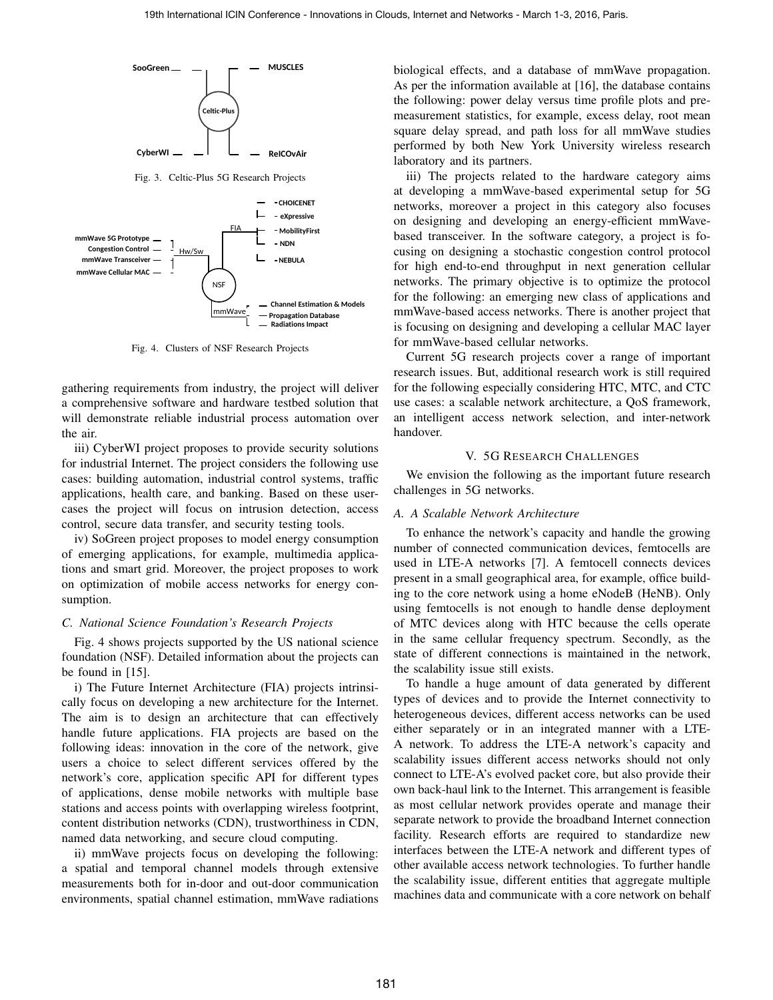

Fig. 3. Celtic-Plus 5G Research Projects



Fig. 4. Clusters of NSF Research Projects

gathering requirements from industry, the project will deliver a comprehensive software and hardware testbed solution that will demonstrate reliable industrial process automation over the air.

iii) CyberWI project proposes to provide security solutions for industrial Internet. The project considers the following use cases: building automation, industrial control systems, traffic applications, health care, and banking. Based on these usercases the project will focus on intrusion detection, access control, secure data transfer, and security testing tools.

iv) SoGreen project proposes to model energy consumption of emerging applications, for example, multimedia applications and smart grid. Moreover, the project proposes to work on optimization of mobile access networks for energy consumption.

#### *C. National Science Foundation's Research Projects*

Fig. 4 shows projects supported by the US national science foundation (NSF). Detailed information about the projects can be found in [15].

i) The Future Internet Architecture (FIA) projects intrinsically focus on developing a new architecture for the Internet. The aim is to design an architecture that can effectively handle future applications. FIA projects are based on the following ideas: innovation in the core of the network, give users a choice to select different services offered by the network's core, application specific API for different types of applications, dense mobile networks with multiple base stations and access points with overlapping wireless footprint, content distribution networks (CDN), trustworthiness in CDN, named data networking, and secure cloud computing.

ii) mmWave projects focus on developing the following: a spatial and temporal channel models through extensive measurements both for in-door and out-door communication environments, spatial channel estimation, mmWave radiations biological effects, and a database of mmWave propagation. As per the information available at [16], the database contains the following: power delay versus time profile plots and premeasurement statistics, for example, excess delay, root mean square delay spread, and path loss for all mmWave studies performed by both New York University wireless research laboratory and its partners.

iii) The projects related to the hardware category aims at developing a mmWave-based experimental setup for 5G networks, moreover a project in this category also focuses on designing and developing an energy-efficient mmWavebased transceiver. In the software category, a project is focusing on designing a stochastic congestion control protocol for high end-to-end throughput in next generation cellular networks. The primary objective is to optimize the protocol for the following: an emerging new class of applications and mmWave-based access networks. There is another project that is focusing on designing and developing a cellular MAC layer for mmWave-based cellular networks.

Current 5G research projects cover a range of important research issues. But, additional research work is still required for the following especially considering HTC, MTC, and CTC use cases: a scalable network architecture, a QoS framework, an intelligent access network selection, and inter-network handover.

#### V. 5G RESEARCH CHALLENGES

We envision the following as the important future research challenges in 5G networks.

## *A. A Scalable Network Architecture*

To enhance the network's capacity and handle the growing number of connected communication devices, femtocells are used in LTE-A networks [7]. A femtocell connects devices present in a small geographical area, for example, office building to the core network using a home eNodeB (HeNB). Only using femtocells is not enough to handle dense deployment of MTC devices along with HTC because the cells operate in the same cellular frequency spectrum. Secondly, as the state of different connections is maintained in the network, the scalability issue still exists.

To handle a huge amount of data generated by different types of devices and to provide the Internet connectivity to heterogeneous devices, different access networks can be used either separately or in an integrated manner with a LTE-A network. To address the LTE-A network's capacity and scalability issues different access networks should not only connect to LTE-A's evolved packet core, but also provide their own back-haul link to the Internet. This arrangement is feasible as most cellular network provides operate and manage their separate network to provide the broadband Internet connection facility. Research efforts are required to standardize new interfaces between the LTE-A network and different types of other available access network technologies. To further handle the scalability issue, different entities that aggregate multiple machines data and communicate with a core network on behalf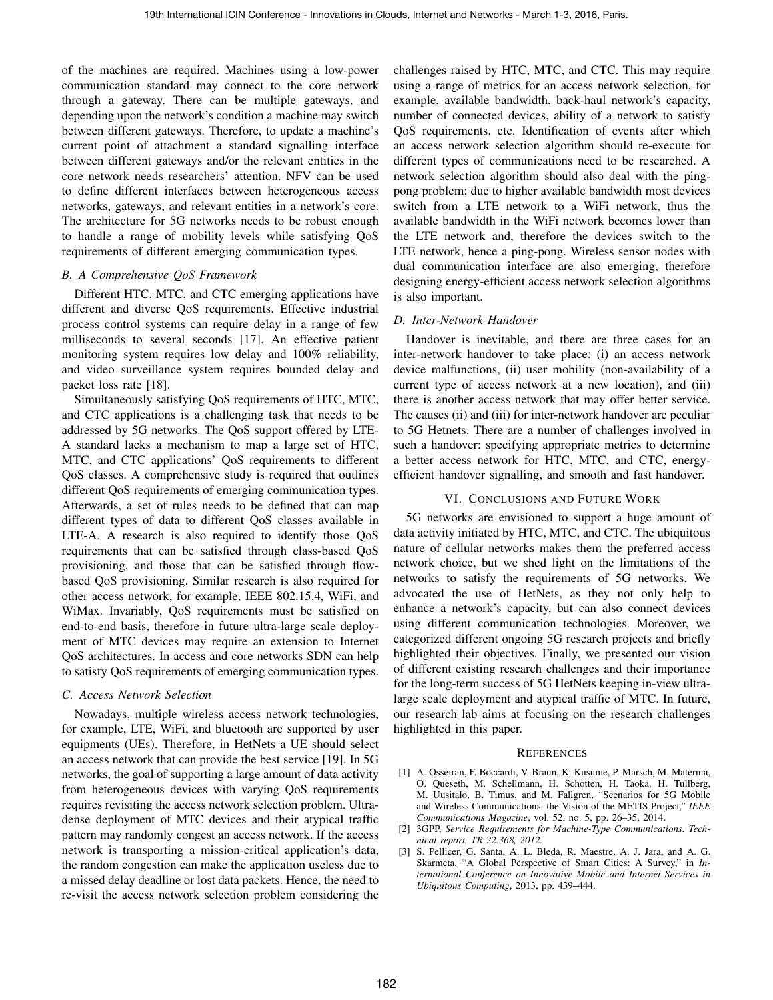of the machines are required. Machines using a low-power communication standard may connect to the core network through a gateway. There can be multiple gateways, and depending upon the network's condition a machine may switch between different gateways. Therefore, to update a machine's current point of attachment a standard signalling interface between different gateways and/or the relevant entities in the core network needs researchers' attention. NFV can be used to define different interfaces between heterogeneous access networks, gateways, and relevant entities in a network's core. The architecture for 5G networks needs to be robust enough to handle a range of mobility levels while satisfying QoS requirements of different emerging communication types.

#### *B. A Comprehensive QoS Framework*

Different HTC, MTC, and CTC emerging applications have different and diverse QoS requirements. Effective industrial process control systems can require delay in a range of few milliseconds to several seconds [17]. An effective patient monitoring system requires low delay and 100% reliability, and video surveillance system requires bounded delay and packet loss rate [18].

Simultaneously satisfying QoS requirements of HTC, MTC, and CTC applications is a challenging task that needs to be addressed by 5G networks. The QoS support offered by LTE-A standard lacks a mechanism to map a large set of HTC, MTC, and CTC applications' QoS requirements to different QoS classes. A comprehensive study is required that outlines different QoS requirements of emerging communication types. Afterwards, a set of rules needs to be defined that can map different types of data to different QoS classes available in LTE-A. A research is also required to identify those QoS requirements that can be satisfied through class-based QoS provisioning, and those that can be satisfied through flowbased QoS provisioning. Similar research is also required for other access network, for example, IEEE 802.15.4, WiFi, and WiMax. Invariably, QoS requirements must be satisfied on end-to-end basis, therefore in future ultra-large scale deployment of MTC devices may require an extension to Internet QoS architectures. In access and core networks SDN can help to satisfy QoS requirements of emerging communication types.

#### *C. Access Network Selection*

Nowadays, multiple wireless access network technologies, for example, LTE, WiFi, and bluetooth are supported by user equipments (UEs). Therefore, in HetNets a UE should select an access network that can provide the best service [19]. In 5G networks, the goal of supporting a large amount of data activity from heterogeneous devices with varying QoS requirements requires revisiting the access network selection problem. Ultradense deployment of MTC devices and their atypical traffic pattern may randomly congest an access network. If the access network is transporting a mission-critical application's data, the random congestion can make the application useless due to a missed delay deadline or lost data packets. Hence, the need to re-visit the access network selection problem considering the

challenges raised by HTC, MTC, and CTC. This may require using a range of metrics for an access network selection, for example, available bandwidth, back-haul network's capacity, number of connected devices, ability of a network to satisfy QoS requirements, etc. Identification of events after which an access network selection algorithm should re-execute for different types of communications need to be researched. A network selection algorithm should also deal with the pingpong problem; due to higher available bandwidth most devices switch from a LTE network to a WiFi network, thus the available bandwidth in the WiFi network becomes lower than the LTE network and, therefore the devices switch to the LTE network, hence a ping-pong. Wireless sensor nodes with dual communication interface are also emerging, therefore designing energy-efficient access network selection algorithms is also important.

## *D. Inter-Network Handover*

Handover is inevitable, and there are three cases for an inter-network handover to take place: (i) an access network device malfunctions, (ii) user mobility (non-availability of a current type of access network at a new location), and (iii) there is another access network that may offer better service. The causes (ii) and (iii) for inter-network handover are peculiar to 5G Hetnets. There are a number of challenges involved in such a handover: specifying appropriate metrics to determine a better access network for HTC, MTC, and CTC, energyefficient handover signalling, and smooth and fast handover.

#### VI. CONCLUSIONS AND FUTURE WORK

5G networks are envisioned to support a huge amount of data activity initiated by HTC, MTC, and CTC. The ubiquitous nature of cellular networks makes them the preferred access network choice, but we shed light on the limitations of the networks to satisfy the requirements of 5G networks. We advocated the use of HetNets, as they not only help to enhance a network's capacity, but can also connect devices using different communication technologies. Moreover, we categorized different ongoing 5G research projects and briefly highlighted their objectives. Finally, we presented our vision of different existing research challenges and their importance for the long-term success of 5G HetNets keeping in-view ultralarge scale deployment and atypical traffic of MTC. In future, our research lab aims at focusing on the research challenges highlighted in this paper.

#### **REFERENCES**

- [1] A. Osseiran, F. Boccardi, V. Braun, K. Kusume, P. Marsch, M. Maternia, O. Queseth, M. Schellmann, H. Schotten, H. Taoka, H. Tullberg, M. Uusitalo, B. Timus, and M. Fallgren, "Scenarios for 5G Mobile and Wireless Communications: the Vision of the METIS Project," *IEEE Communications Magazine*, vol. 52, no. 5, pp. 26–35, 2014.
- [2] 3GPP, *Service Requirements for Machine-Type Communications. Technical report, TR 22.368, 2012.*
- [3] S. Pellicer, G. Santa, A. L. Bleda, R. Maestre, A. J. Jara, and A. G. Skarmeta, "A Global Perspective of Smart Cities: A Survey," in *International Conference on Innovative Mobile and Internet Services in Ubiquitous Computing*, 2013, pp. 439–444.